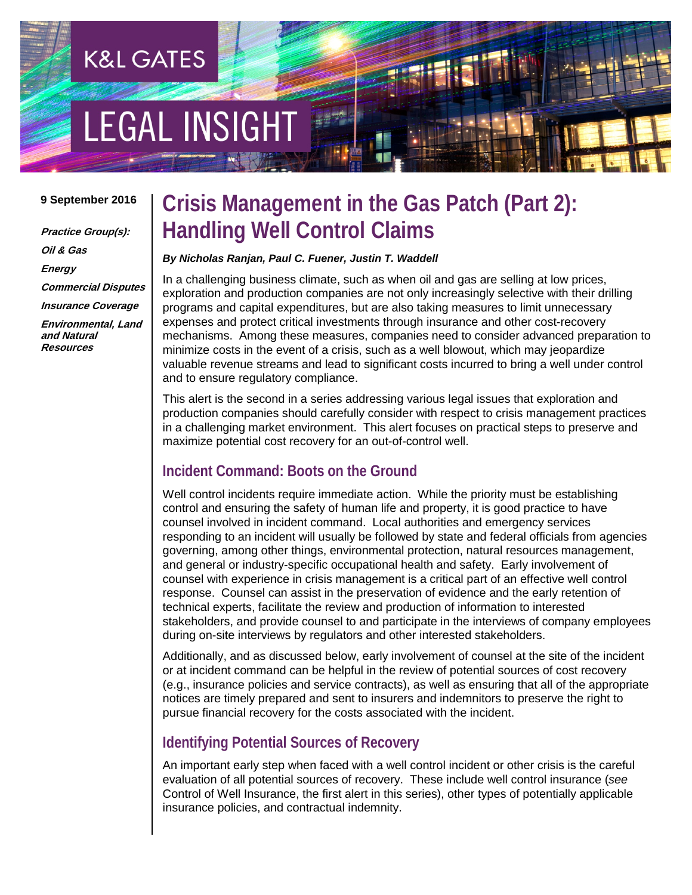# **EGAL INSIGHT**

**K&L GATES** 

#### **9 September 2016**

**Practice Group(s): Oil & Gas Energy Commercial Disputes Insurance Coverage Environmental, Land and Natural Resources**

# **Crisis Management in the Gas Patch (Part 2): Handling Well Control Claims**

#### *By Nicholas Ranjan, Paul C. Fuener, Justin T. Waddell*

In a challenging business climate, such as when oil and gas are selling at low prices, exploration and production companies are not only increasingly selective with their drilling programs and capital expenditures, but are also taking measures to limit unnecessary expenses and protect critical investments through insurance and other cost-recovery mechanisms. Among these measures, companies need to consider advanced preparation to minimize costs in the event of a crisis, such as a well blowout, which may jeopardize valuable revenue streams and lead to significant costs incurred to bring a well under control and to ensure regulatory compliance.

This alert is the second in a series addressing various legal issues that exploration and production companies should carefully consider with respect to crisis management practices in a challenging market environment. This alert focuses on practical steps to preserve and maximize potential cost recovery for an out-of-control well.

### **Incident Command: Boots on the Ground**

Well control incidents require immediate action. While the priority must be establishing control and ensuring the safety of human life and property, it is good practice to have counsel involved in incident command. Local authorities and emergency services responding to an incident will usually be followed by state and federal officials from agencies governing, among other things, environmental protection, natural resources management, and general or industry-specific occupational health and safety. Early involvement of counsel with experience in crisis management is a critical part of an effective well control response. Counsel can assist in the preservation of evidence and the early retention of technical experts, facilitate the review and production of information to interested stakeholders, and provide counsel to and participate in the interviews of company employees during on-site interviews by regulators and other interested stakeholders.

Additionally, and as discussed below, early involvement of counsel at the site of the incident or at incident command can be helpful in the review of potential sources of cost recovery (e.g., insurance policies and service contracts), as well as ensuring that all of the appropriate notices are timely prepared and sent to insurers and indemnitors to preserve the right to pursue financial recovery for the costs associated with the incident.

### **Identifying Potential Sources of Recovery**

An important early step when faced with a well control incident or other crisis is the careful evaluation of all potential sources of recovery. These include well control insurance (*see* Control of Well Insurance, the first alert in this series), other types of potentially applicable insurance policies, and contractual indemnity.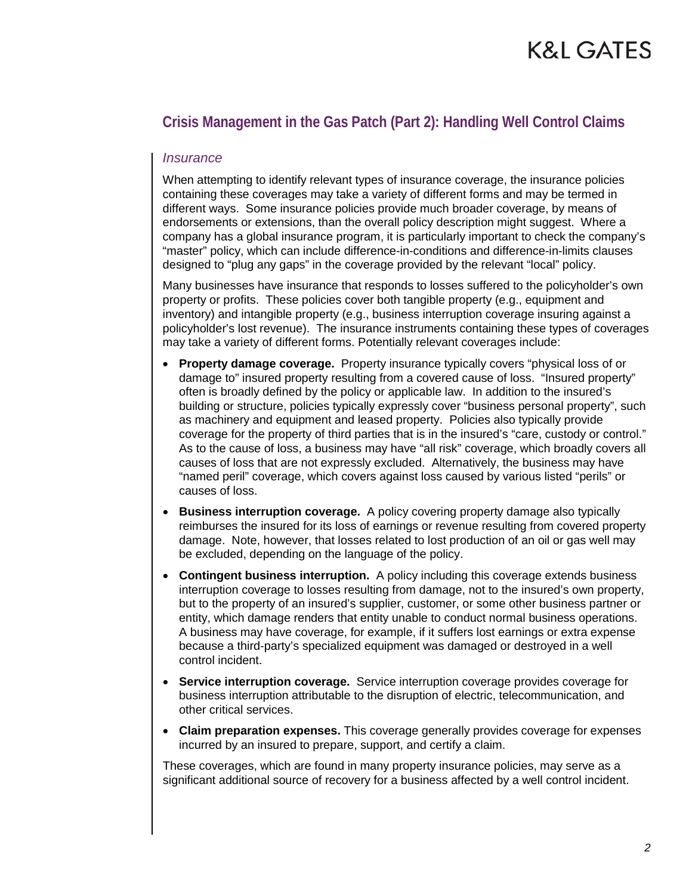# K&L GATES

# **Crisis Management in the Gas Patch (Part 2): Handling Well Control Claims**

#### *Insurance*

When attempting to identify relevant types of insurance coverage, the insurance policies containing these coverages may take a variety of different forms and may be termed in different ways. Some insurance policies provide much broader coverage, by means of endorsements or extensions, than the overall policy description might suggest. Where a company has a global insurance program, it is particularly important to check the company's "master" policy, which can include difference-in-conditions and difference-in-limits clauses designed to "plug any gaps" in the coverage provided by the relevant "local" policy.

Many businesses have insurance that responds to losses suffered to the policyholder's own property or profits. These policies cover both tangible property (e.g., equipment and inventory) and intangible property (e.g., business interruption coverage insuring against a policyholder's lost revenue). The insurance instruments containing these types of coverages may take a variety of different forms. Potentially relevant coverages include:

- **Property damage coverage.** Property insurance typically covers "physical loss of or damage to" insured property resulting from a covered cause of loss. "Insured property" often is broadly defined by the policy or applicable law. In addition to the insured's building or structure, policies typically expressly cover "business personal property", such as machinery and equipment and leased property. Policies also typically provide coverage for the property of third parties that is in the insured's "care, custody or control." As to the cause of loss, a business may have "all risk" coverage, which broadly covers all causes of loss that are not expressly excluded. Alternatively, the business may have "named peril" coverage, which covers against loss caused by various listed "perils" or causes of loss.
- **Business interruption coverage.** A policy covering property damage also typically reimburses the insured for its loss of earnings or revenue resulting from covered property damage. Note, however, that losses related to lost production of an oil or gas well may be excluded, depending on the language of the policy.
- **Contingent business interruption.** A policy including this coverage extends business interruption coverage to losses resulting from damage, not to the insured's own property, but to the property of an insured's supplier, customer, or some other business partner or entity, which damage renders that entity unable to conduct normal business operations. A business may have coverage, for example, if it suffers lost earnings or extra expense because a third-party's specialized equipment was damaged or destroyed in a well control incident.
- **Service interruption coverage.** Service interruption coverage provides coverage for business interruption attributable to the disruption of electric, telecommunication, and other critical services.
- **Claim preparation expenses.** This coverage generally provides coverage for expenses incurred by an insured to prepare, support, and certify a claim.

These coverages, which are found in many property insurance policies, may serve as a significant additional source of recovery for a business affected by a well control incident.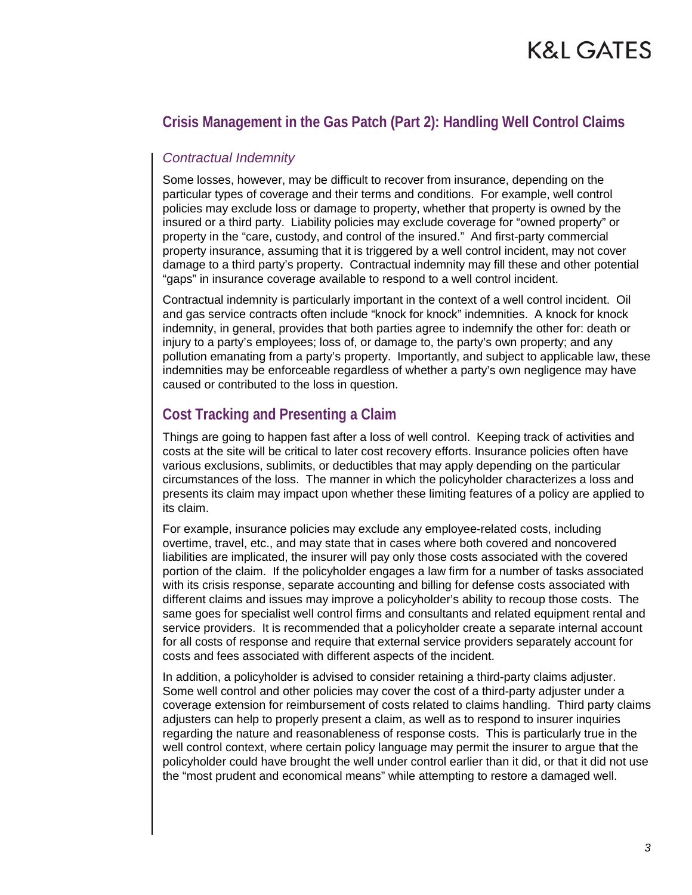# **K&L GATES**

# **Crisis Management in the Gas Patch (Part 2): Handling Well Control Claims**

### *Contractual Indemnity*

Some losses, however, may be difficult to recover from insurance, depending on the particular types of coverage and their terms and conditions. For example, well control policies may exclude loss or damage to property, whether that property is owned by the insured or a third party. Liability policies may exclude coverage for "owned property" or property in the "care, custody, and control of the insured." And first-party commercial property insurance, assuming that it is triggered by a well control incident, may not cover damage to a third party's property. Contractual indemnity may fill these and other potential "gaps" in insurance coverage available to respond to a well control incident.

Contractual indemnity is particularly important in the context of a well control incident. Oil and gas service contracts often include "knock for knock" indemnities. A knock for knock indemnity, in general, provides that both parties agree to indemnify the other for: death or injury to a party's employees; loss of, or damage to, the party's own property; and any pollution emanating from a party's property. Importantly, and subject to applicable law, these indemnities may be enforceable regardless of whether a party's own negligence may have caused or contributed to the loss in question.

# **Cost Tracking and Presenting a Claim**

Things are going to happen fast after a loss of well control. Keeping track of activities and costs at the site will be critical to later cost recovery efforts. Insurance policies often have various exclusions, sublimits, or deductibles that may apply depending on the particular circumstances of the loss. The manner in which the policyholder characterizes a loss and presents its claim may impact upon whether these limiting features of a policy are applied to its claim.

For example, insurance policies may exclude any employee-related costs, including overtime, travel, etc., and may state that in cases where both covered and noncovered liabilities are implicated, the insurer will pay only those costs associated with the covered portion of the claim. If the policyholder engages a law firm for a number of tasks associated with its crisis response, separate accounting and billing for defense costs associated with different claims and issues may improve a policyholder's ability to recoup those costs. The same goes for specialist well control firms and consultants and related equipment rental and service providers. It is recommended that a policyholder create a separate internal account for all costs of response and require that external service providers separately account for costs and fees associated with different aspects of the incident.

In addition, a policyholder is advised to consider retaining a third-party claims adjuster. Some well control and other policies may cover the cost of a third-party adjuster under a coverage extension for reimbursement of costs related to claims handling. Third party claims adjusters can help to properly present a claim, as well as to respond to insurer inquiries regarding the nature and reasonableness of response costs. This is particularly true in the well control context, where certain policy language may permit the insurer to argue that the policyholder could have brought the well under control earlier than it did, or that it did not use the "most prudent and economical means" while attempting to restore a damaged well.